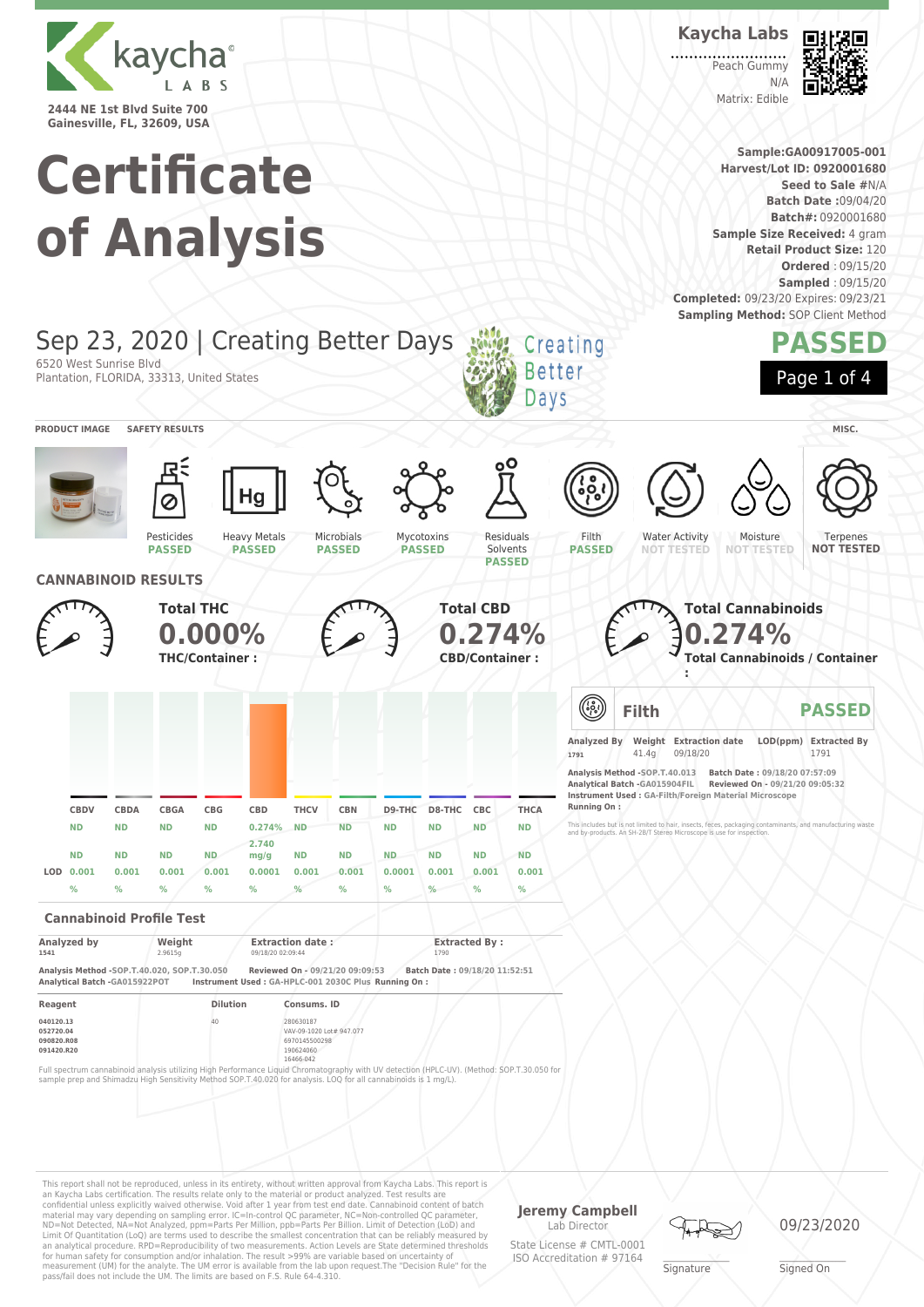

**Certificate of Analysis** **Kaycha Labs** Peach Gummy

 $N/L$ Matrix: Edible



**Sample:GA00917005-001 Harvest/Lot ID: 0920001680 Seed to Sale #**N/A **Batch Date :**09/04/20 **Batch#:** 0920001680 **Sample Size Received:** 4 gram **Retail Product Size:** 120 **Ordered** : 09/15/20 **Sampled** : 09/15/20 **Completed:** 09/23/20 Expires: 09/23/21 **Sampling Method: SOP Client Method** 



This report shall not be reproduced, unless in its entirety, without written approval from Kaycha Labs. This report is an Kaycha Labs certification. The results relate only to the material or product analyzed. Test results are<br>confidential unless explicitly waived otherwise. Void after 1 year from test end date. Cannabinoid content of bat Limit Of Quantitation (LoQ) are terms used to describe the smallest concentration that can be reliably measured by an analytical procedure. RPD=Reproducibility of two measurements. Action Levels are State determined thresholds for human safety for consumption and/or inhalation. The result >99% are variable based on uncertainty of measurement (UM) for the analyte. The UM error is available from the lab upon request.The "Decision Rule" for the pass/fail does not include the UM. The limits are based on F.S. Rule 64-4.310.

**Jeremy Campbell** Lab Director

State License # CMTL-0001 ISO Accreditation # 97164



**Signature**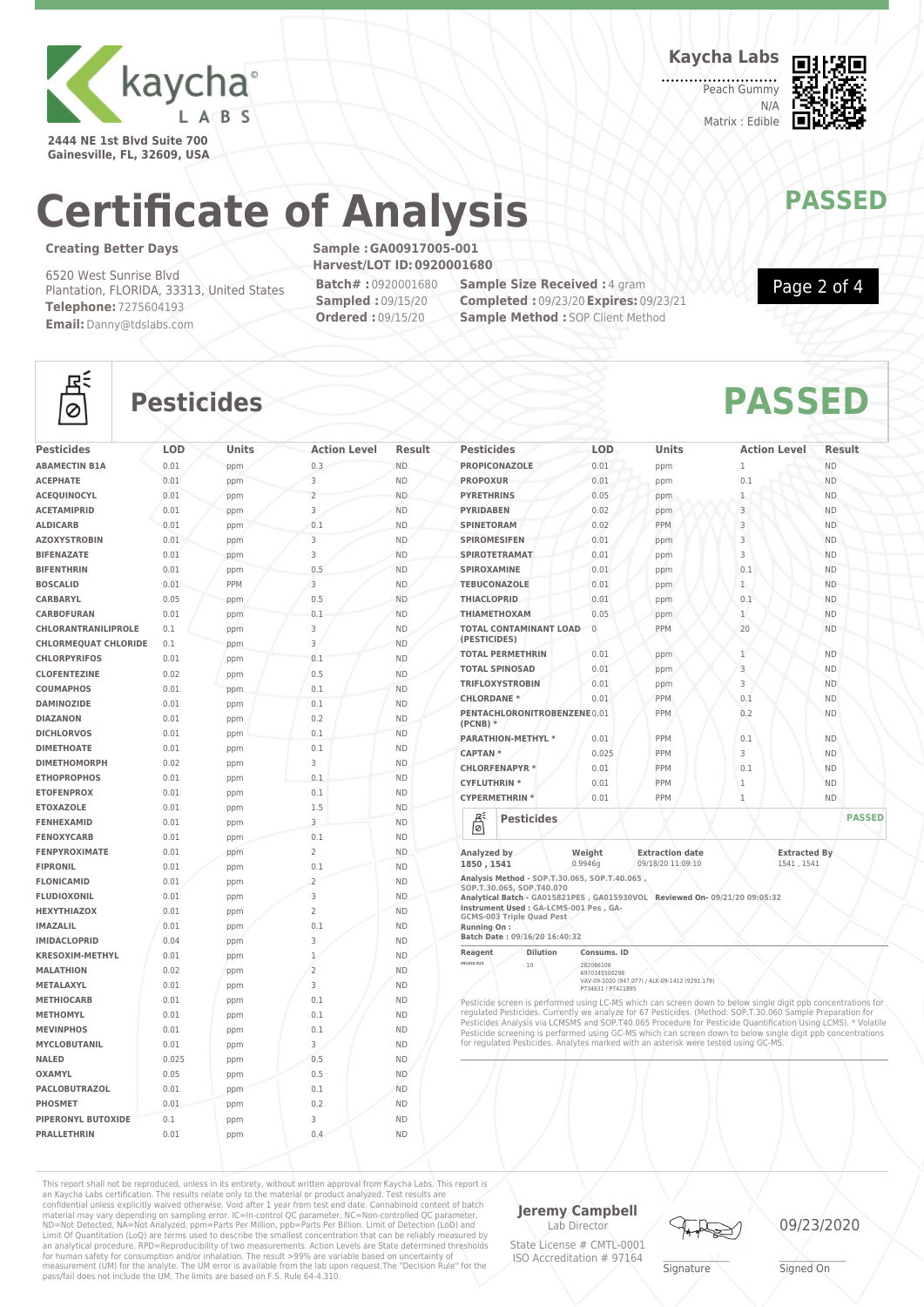

**2444 NE 1st Blvd Suite 700 Gainesville, FL, 32609, USA** **Kaycha Labs**

Peach Gummy N/A Matrix : Edible



Page 2 of 4

### **Certificate of Analysis MAY PASSED**

### **Creating Better Days**

 $\frac{d\vec{r}}{d\Omega}$ 

6520 West Sunrise Blvd Plantation, FLORIDA, 33313, United States **Telephone:** 7275604193 **Email:**Danny@tdslabs.com

**Sample :GA00917005-001 Harvest/LOT ID:0920001680 Batch# :** 0920001680

**Sampled :** 09/15/20 **Ordered :** 09/15/20

**Sample Size Received : 4 gram Completed :** 09/23/20**Expires:** 09/23/21 **Sample Method : SOP Client Method** 



### **Pesticides PASSED**

| <b>Pesticides</b>           | <b>LOD</b> | <b>Units</b> | <b>Action Level</b> | <b>Result</b> |
|-----------------------------|------------|--------------|---------------------|---------------|
| <b>ABAMECTIN B1A</b>        | 0.01       | ppm          | 0.3                 | <b>ND</b>     |
| <b>ACEPHATE</b>             | 0.01       | ppm          | 3                   | <b>ND</b>     |
| <b>ACEOUINOCYL</b>          | 0.01       | ppm          | $\overline{2}$      | <b>ND</b>     |
| <b>ACETAMIPRID</b>          | 0.01       | ppm          | 3                   | <b>ND</b>     |
| <b>ALDICARB</b>             | 0.01       | ppm          | 0.1                 | <b>ND</b>     |
| <b>AZOXYSTROBIN</b>         | 0.01       | ppm          | 3                   | <b>ND</b>     |
| <b>BIFENAZATE</b>           | 0.01       | ppm          | 3                   | <b>ND</b>     |
| <b>BIFENTHRIN</b>           | 0.01       | ppm          | 0.5                 | <b>ND</b>     |
| <b>BOSCALID</b>             | 0.01       | PPM          | 3                   | <b>ND</b>     |
| CARBARYL                    | 0.05       | ppm          | 0.5                 | <b>ND</b>     |
| <b>CARBOFURAN</b>           | 0.01       | ppm          | 0.1                 | <b>ND</b>     |
| <b>CHLORANTRANILIPROLE</b>  | 0.1        | ppm          | 3                   | <b>ND</b>     |
| <b>CHLORMEOUAT CHLORIDE</b> | 0.1        | ppm          | 3                   | <b>ND</b>     |
| <b>CHLORPYRIFOS</b>         | 0.01       | ppm          | 0.1                 | <b>ND</b>     |
| <b>CLOFENTEZINE</b>         | 0.02       | ppm          | 0.5                 | <b>ND</b>     |
| <b>COUMAPHOS</b>            | 0.01       | ppm          | 0.1                 | <b>ND</b>     |
| <b>DAMINOZIDE</b>           | 0.01       | ppm          | 0.1                 | <b>ND</b>     |
| <b>DIAZANON</b>             | 0.01       | ppm          | 0.2                 | <b>ND</b>     |
| <b>DICHLORVOS</b>           | 0.01       | ppm          | 0.1                 | <b>ND</b>     |
| <b>DIMETHOATE</b>           | 0.01       | ppm          | 0.1                 | <b>ND</b>     |
| <b>DIMETHOMORPH</b>         | 0.02       | ppm          | 3                   | <b>ND</b>     |
| <b>ETHOPROPHOS</b>          | 0.01       | ppm          | 0.1                 | <b>ND</b>     |
| <b>ETOFENPROX</b>           | 0.01       | ppm          | 0.1                 | <b>ND</b>     |
| <b>ETOXAZOLE</b>            | 0.01       | ppm          | 1.5                 | <b>ND</b>     |
| <b>FENHEXAMID</b>           | 0.01       | ppm          | 3                   | <b>ND</b>     |
| <b>FENOXYCARB</b>           | 0.01       | ppm          | 0.1                 | <b>ND</b>     |
| <b>FENPYROXIMATE</b>        | 0.01       | ppm          | $\overline{2}$      | <b>ND</b>     |
| <b>FIPRONIL</b>             | 0.01       | ppm          | 0.1                 | <b>ND</b>     |
| <b>FLONICAMID</b>           | 0.01       | ppm          | $\overline{2}$      | <b>ND</b>     |
| <b>FLUDIOXONIL</b>          | 0.01       | ppm          | 3                   | <b>ND</b>     |
| <b>HEXYTHIAZOX</b>          | 0.01       | ppm          | $\overline{2}$      | <b>ND</b>     |
| <b>IMAZALIL</b>             | 0.01       | ppm          | 0.1                 | <b>ND</b>     |
| <b>IMIDACLOPRID</b>         | 0.04       | ppm          | 3                   | <b>ND</b>     |
| <b>KRESOXIM-METHYL</b>      | 0.01       | ppm          | $\mathbf{1}$        | <b>ND</b>     |
| <b>MALATHION</b>            | 0.02       | ppm          | $\overline{2}$      | <b>ND</b>     |
| METALAXYL                   | 0.01       | ppm          | 3                   | <b>ND</b>     |
| <b>METHIOCARB</b>           | 0.01       | ppm          | 0.1                 | <b>ND</b>     |
| <b>METHOMYL</b>             | 0.01       | ppm          | 0.1                 | <b>ND</b>     |
| <b>MEVINPHOS</b>            | 0.01       | ppm          | 0.1                 | <b>ND</b>     |
| <b>MYCLOBUTANIL</b>         | 0.01       | ppm          | 3                   | <b>ND</b>     |
| <b>NALED</b>                | 0.025      | ppm          | 0.5                 | <b>ND</b>     |
| <b>OXAMYL</b>               | 0.05       | ppm          | 0.5                 | <b>ND</b>     |
| <b>PACLOBUTRAZOL</b>        | 0.01       | ppm          | 0.1                 | <b>ND</b>     |
| PHOSMET                     | 0.01       | ppm          | 0.2                 | <b>ND</b>     |
| <b>PIPERONYL BUTOXIDE</b>   | 0.1        |              | 3                   | <b>ND</b>     |
| <b>PRALLETHRIN</b>          | 0.01       | ppm<br>ppm   | 0.4                 | <b>ND</b>     |
|                             |            |              |                     |               |

| <b>Pesticides</b>                                                                                                                                                                                                                                                               | LOD                        | Units                                       | <b>Action Level</b>              | Result        |
|---------------------------------------------------------------------------------------------------------------------------------------------------------------------------------------------------------------------------------------------------------------------------------|----------------------------|---------------------------------------------|----------------------------------|---------------|
| <b>PROPICONAZOLE</b>                                                                                                                                                                                                                                                            | 0.01                       | ppm                                         | 1                                | <b>ND</b>     |
| <b>PROPOXUR</b>                                                                                                                                                                                                                                                                 | 0.01                       | ppm                                         | 0.1                              | <b>ND</b>     |
| <b>PYRETHRINS</b>                                                                                                                                                                                                                                                               | 0.05                       | ppm                                         | 1                                | <b>ND</b>     |
| <b>PYRIDABEN</b>                                                                                                                                                                                                                                                                | 0.02                       | ppm                                         | 3                                | <b>ND</b>     |
| <b>SPINETORAM</b>                                                                                                                                                                                                                                                               | 0.02                       | <b>PPM</b>                                  | 3                                | <b>ND</b>     |
| <b>SPIROMESIFEN</b>                                                                                                                                                                                                                                                             | 0.01                       | ppm                                         | 3                                | <b>ND</b>     |
| <b>SPIROTETRAMAT</b>                                                                                                                                                                                                                                                            | 0.01                       | ppm                                         | 3                                | <b>ND</b>     |
| <b>SPIROXAMINE</b>                                                                                                                                                                                                                                                              | 0.01                       | ppm                                         | 0.1                              | <b>ND</b>     |
| <b>TEBUCONAZOLE</b>                                                                                                                                                                                                                                                             | 0.01                       | ppm                                         | $\mathbf{1}$                     | <b>ND</b>     |
| <b>THIACLOPRID</b>                                                                                                                                                                                                                                                              | 0.01                       | ppm                                         | 0.1                              | <b>ND</b>     |
| <b>THIAMETHOXAM</b>                                                                                                                                                                                                                                                             | 0.05                       | ppm                                         | $\mathbf{1}$                     | <b>ND</b>     |
| <b>TOTAL CONTAMINANT LOAD</b><br>(PESTICIDES)                                                                                                                                                                                                                                   | $\Omega$                   | PPM                                         | 20                               | <b>ND</b>     |
| <b>TOTAL PERMETHRIN</b>                                                                                                                                                                                                                                                         | 0.01                       | ppm                                         | 1                                | <b>ND</b>     |
| <b>TOTAL SPINOSAD</b>                                                                                                                                                                                                                                                           | 0.01                       | ppm                                         | 3                                | <b>ND</b>     |
| <b>TRIFLOXYSTROBIN</b>                                                                                                                                                                                                                                                          | 0.01                       | ppm                                         | 3                                | <b>ND</b>     |
| <b>CHLORDANE *</b>                                                                                                                                                                                                                                                              | 0.01                       | PPM                                         | 0.1                              | <b>ND</b>     |
| PENTACHLORONITROBENZENE 0.01<br>$(PCNB)$ *                                                                                                                                                                                                                                      |                            | PPM                                         | 0.2                              | <b>ND</b>     |
| <b>PARATHION-METHYL *</b>                                                                                                                                                                                                                                                       | 0.01                       | PPM                                         | 0.1                              | <b>ND</b>     |
| <b>CAPTAN*</b>                                                                                                                                                                                                                                                                  | 0.025                      | PPM                                         | 3                                | <b>ND</b>     |
| <b>CHLORFENAPYR*</b>                                                                                                                                                                                                                                                            | 0.01                       | PPM                                         | 0.1                              | <b>ND</b>     |
| <b>CYFLUTHRIN *</b>                                                                                                                                                                                                                                                             | 0.01                       | PPM                                         | 1                                | <b>ND</b>     |
| <b>CYPERMETHRIN *</b>                                                                                                                                                                                                                                                           | 0.01                       | PPM                                         | $\mathbf{1}$                     | ND.           |
| ЕÉ<br><b>Pesticides</b><br>ଚା                                                                                                                                                                                                                                                   |                            |                                             |                                  | <b>PASSED</b> |
| Analyzed by<br>1850.1541                                                                                                                                                                                                                                                        | Weight<br>0.9946q          | <b>Extraction date</b><br>09/18/20 11:09:10 | <b>Extracted By</b><br>1541.1541 |               |
| Analysis Method - SOP.T.30.065, SOP.T.40.065,<br>SOP.T.30.065, SOP.T40.070<br>Analytical Batch - GA015821PES, GA015930VOL Reviewed On-09/21/20 09:05:32<br>Instrument Used : GA-LCMS-001 Pes , GA-<br>GCMS-003 Triple Quad Pest<br>Running On:<br>Batch Date: 09/16/20 16:40:32 |                            |                                             |                                  |               |
| <b>Dilution</b><br>Reagent                                                                                                                                                                                                                                                      | Consums, ID                |                                             |                                  |               |
| 091020.R23<br>10                                                                                                                                                                                                                                                                | 282066106<br>6970145500298 |                                             |                                  |               |

6970145500298 VAV-09-1020 (947.077) / ALK-09-1412 (9291.179) P734631 / P7411895

Pesticide screen is performed using LC-MS which can screen down to below single digit ppb concentrations for regulated Pesticides. Currently we analyze for 67 Pesticides. (Method: SOP.T.30.060 Sample Preparation for<br>Pesticides Analysis via LCMSMS and SOP.T40.065 Procedure for Pesticide Quantification Using LCMS). \* Volatile<br>Pesti for regulated Pesticides. Analytes marked with an asterisk were tested using GC-MS.

This report shall not be reproduced, unless in its entirety, without written approval from Kaycha Labs. This report is an Kaycha Labs certification. The results relate only to the material or product analyzed. Test results are<br>confidential unless explicitly waived otherwise. Void after 1 year from test end date. Cannabinoid content of batc

**Jeremy Campbell** Lab Director State License # CMTL-0001

ISO Accreditation # 97164





**Signature**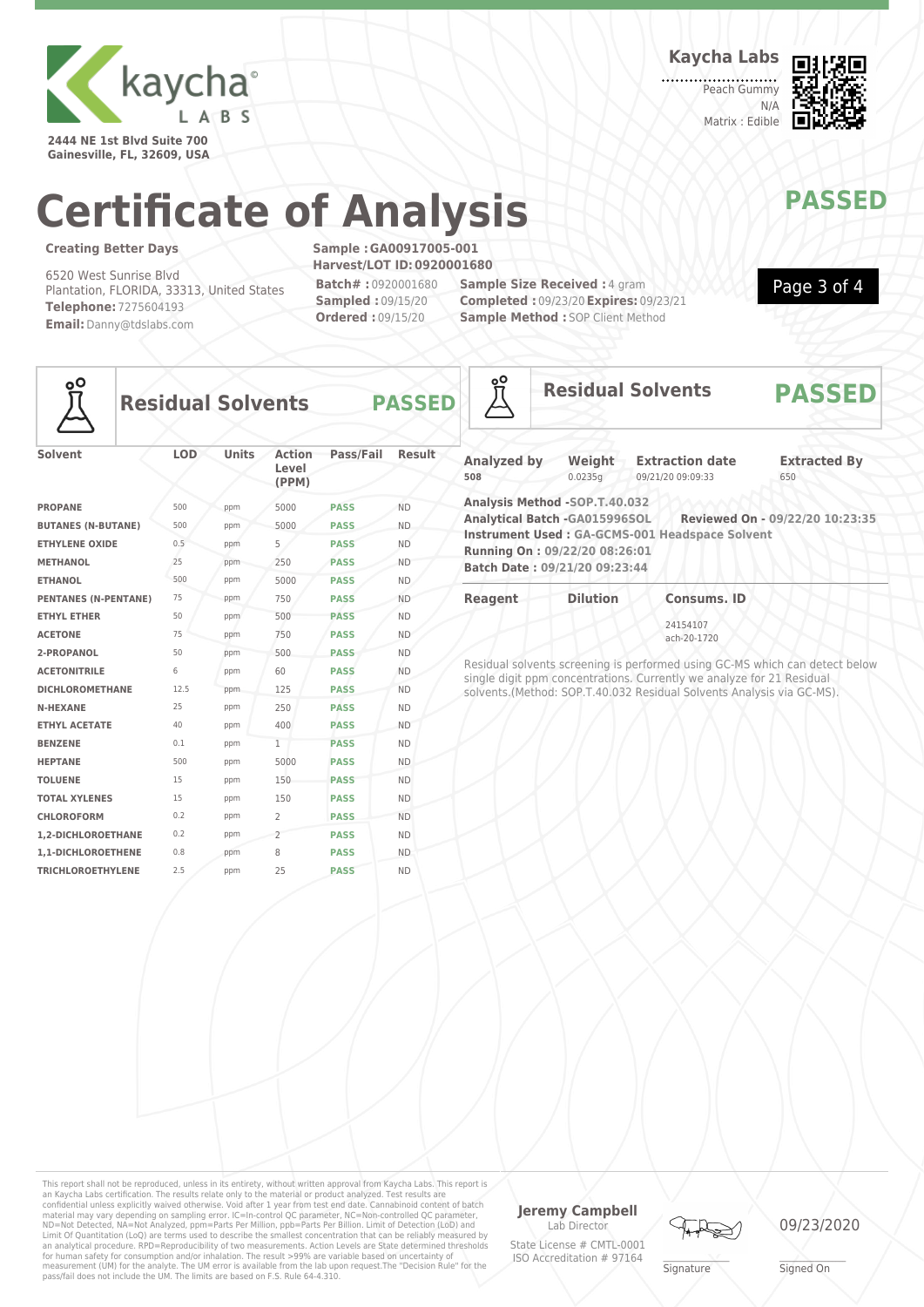

**2444 NE 1st Blvd Suite 700 Gainesville, FL, 32609, USA** **Kaycha Labs**

Peach Gummy N/A Matrix : Edible



Page 3 of 4

# **Certificate of Analysis MAY PASSED**

### **Creating Better Days**

6520 West Sunrise Blvd Plantation, FLORIDA, 33313, United States **Telephone:** 7275604193 **Email:**Danny@tdslabs.com

**Sample :GA00917005-001 Harvest/LOT ID:0920001680 Batch# :** 0920001680 **Sampled :** 09/15/20 **Ordered :** 09/15/20

**Sample Size Received : 4 gram Completed :** 09/23/20**Expires:** 09/23/21 **Sample Method : SOP Client Method** 



**Residual Solvents PASSED**



| Solvent                     | <b>LOD</b> | Units | Action<br>Level<br>(PPM) | Pass/Fail   | Result    |
|-----------------------------|------------|-------|--------------------------|-------------|-----------|
| <b>PROPANE</b>              | 500        | ppm   | 5000                     | <b>PASS</b> | <b>ND</b> |
| <b>BUTANES (N-BUTANE)</b>   | 500        | ppm   | 5000                     | <b>PASS</b> | <b>ND</b> |
| <b>ETHYLENE OXIDE</b>       | 0.5        | ppm   | 5                        | <b>PASS</b> | <b>ND</b> |
| <b>METHANOL</b>             | 25         | ppm   | 250                      | <b>PASS</b> | <b>ND</b> |
| <b>ETHANOL</b>              | 500        | ppm   | 5000                     | <b>PASS</b> | <b>ND</b> |
| <b>PENTANES (N-PENTANE)</b> | 75         | ppm   | 750                      | <b>PASS</b> | <b>ND</b> |
| <b>ETHYL ETHER</b>          | 50         | ppm   | 500                      | <b>PASS</b> | <b>ND</b> |
| <b>ACETONE</b>              | 75         | ppm   | 750                      | <b>PASS</b> | <b>ND</b> |
| 2-PROPANOL                  | 50         | ppm   | 500                      | <b>PASS</b> | <b>ND</b> |
| <b>ACETONITRILE</b>         | 6          | ppm   | 60                       | <b>PASS</b> | <b>ND</b> |
| <b>DICHLOROMETHANE</b>      | 12.5       | ppm   | 125                      | <b>PASS</b> | <b>ND</b> |
| <b>N-HEXANE</b>             | 25         | ppm   | 250                      | <b>PASS</b> | <b>ND</b> |
| <b>ETHYL ACETATE</b>        | 40         | ppm   | 400                      | <b>PASS</b> | <b>ND</b> |
| <b>BENZENE</b>              | 0.1        | ppm   | $\mathbf{1}$             | <b>PASS</b> | <b>ND</b> |
| <b>HEPTANE</b>              | 500        | ppm   | 5000                     | <b>PASS</b> | <b>ND</b> |
| <b>TOLUENE</b>              | 15         | ppm   | 150                      | <b>PASS</b> | <b>ND</b> |
| <b>TOTAL XYLENES</b>        | 15         | ppm   | 150                      | <b>PASS</b> | <b>ND</b> |
| <b>CHLOROFORM</b>           | 0.2        | ppm   | $\overline{2}$           | <b>PASS</b> | <b>ND</b> |
| <b>1.2-DICHLOROETHANE</b>   | 0.2        | ppm   | $\overline{2}$           | <b>PASS</b> | <b>ND</b> |
| 1,1-DICHLOROETHENE          | 0.8        | ppm   | 8                        | <b>PASS</b> | <b>ND</b> |
| <b>TRICHLOROETHYLENE</b>    | 2.5        | ppm   | 25                       | <b>PASS</b> | <b>ND</b> |
|                             |            |       |                          |             |           |

| <u>oo</u>                 |                                                                                                                                  | <b>Residual Solvents</b>                                              | <b>PASSED</b>                                                               |
|---------------------------|----------------------------------------------------------------------------------------------------------------------------------|-----------------------------------------------------------------------|-----------------------------------------------------------------------------|
| <b>Analyzed by</b><br>508 | Weight<br>0.0235g                                                                                                                | <b>Extraction date</b><br>09/21/20 09:09:33                           | <b>Extracted By</b><br>650                                                  |
|                           | Analysis Method -SOP.T.40.032<br>Analytical Batch -GA015996SOL<br>Running On: 09/22/20 08:26:01<br>Batch Date: 09/21/20 09:23:44 | Instrument Used: GA-GCMS-001 Headspace Solvent                        | Reviewed On - 09/22/20 10:23:35                                             |
| Reagent                   | <b>Dilution</b>                                                                                                                  | <b>Consums, ID</b>                                                    |                                                                             |
|                           |                                                                                                                                  | 24154107<br>ach-20-1720                                               |                                                                             |
|                           |                                                                                                                                  | single digit nom concentrations. Currently we analyze for 21 Residual | Residual solvents screening is performed using GC-MS which can detect below |

single digit ppm concentrations. Currently we analyze for 21 Residual solvents.(Method: SOP.T.40.032 Residual Solvents Analysis via GC-MS).

This report shall not be reproduced, unless in its entirety, without written approval from Kaycha Labs. This report is<br>an Kaycha Labs certification. The results relate only to the materal or product analyzed. Test results an analytical procedure. RPD=Reproducibility of two measurements. Action Levels are State determined thresholds<br>for human safety for consumption and/or inhalation. The result >99% are variable based on uncertainty of<br>measu

#### **Jeremy Campbell** Lab Director

State License # CMTL-0001 ISO Accreditation # 97164



**Signature** 

09/23/2020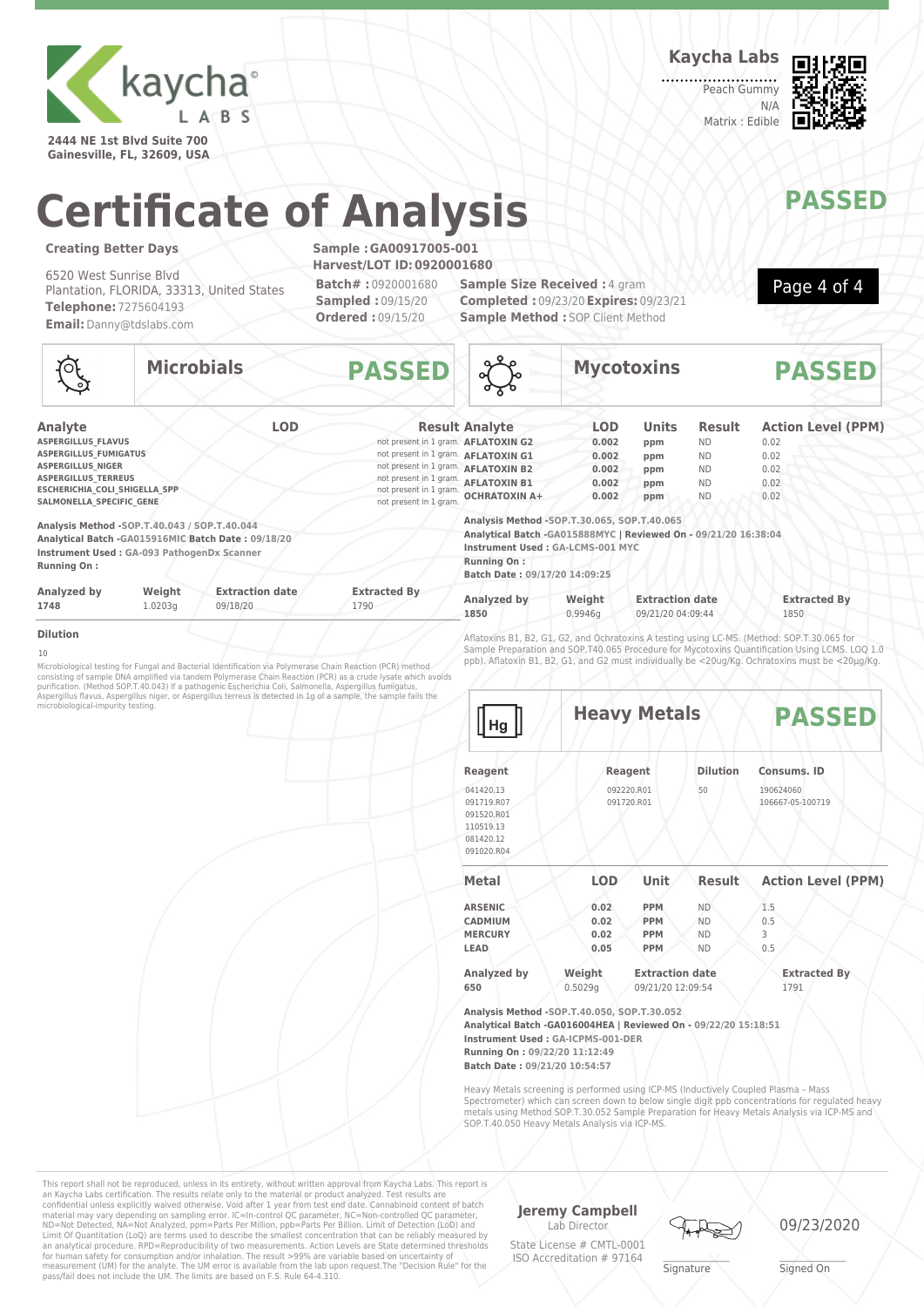

**2444 NE 1st Blvd Suite 700 Gainesville, FL, 32609, USA** **Kaycha Labs**

Peach Gummy N/A Matrix : Edible



# **Certificate of Analysis MANAWAPASSED**

#### **Creating Better Days**

6520 West Sunrise Blvd Plantation, FLORIDA, 33313, United States **Telephone:** 7275604193 **Email:**Danny@tdslabs.com

**Sample :GA00917005-001 Harvest/LOT ID:0920001680 Batch# :** 0920001680 **Sampled :** 09/15/20 **Ordered :** 09/15/20

**Sample Size Received : 4 gram Completed :** 09/23/20**Expires:** 09/23/21 **Sample Method : SOP Client Method** 



**Microbials PASSED Analyte LOD Result Analyte ASPERGILLUS FLAVUS ASPERGILLUS\_FUMIGATUS**<br> **ASPERGILLUS\_NIGER** not present in 1 gram. **AFLATOXIN G1**<br>
not present in 1 gram. **AFLATOXIN B2 ASPERGILLUS\_NIGER ASPERGILLUS\_NIGER**<br> **ASPERGILLUS TERREUS NOTO DESCRIPTION OF DESCRIPTION AND DESCRIPTION OF DESCRIPTION AND 0.02**<br> **ASPERGILLUS TERREUS ADD** 0.02 **ESCHERICHIA\_COLI\_SHIGELLA\_SPP** not present in 1 gram.<br> **ESCHERICHIA\_SPECIFIC\_GENE** not present in 1 gram. SALMONELLA\_SPECIFIC\_GENE **Analysis Method -SOP.T.40.043 / SOP.T.40.044 Analytical Batch -GA015916MIC Batch Date : 09/18/20 Instrument Used : GA-093 PathogenDx Scanner Running On : Analyzed by Weight Extraction date Extracted By 1748** 1.0203g 09/18/20 1790 **Mycotoxins PASSED Analyte LOD Units Result Action Level (PPM) AFLATOXIN G2 0.002 ppm** ND 0.02 **hot present in 1 gram. AFLATOXIN G1 0.002 ppm** ND 0.02 **AFLATOXIN B1 0.002 ppm** ND 0.02 **OCHRATOXIN A+ 0.002 ppm** ND 0.02 **Analysis Method -SOP.T.30.065, SOP.T.40.065 Analytical Batch -GA015888MYC | Reviewed On - 09/21/20 16:38:04 Instrument Used : GA-LCMS-001 MYC Running On : Batch Date : 09/17/20 14:09:25 Analyzed by Weight Extraction date Extracted By 1850** 0.9946g 09/21/20 04:09:44 1850

**Dilution**

10

Microbiological testing for Fungal and Bacterial Identification via Polymerase Chain Reaction (PCR) method<br>consisting of sample DNA amplified via tandem Polymerase Chain Reaction (PCR) as a crude lysate which avoids<br>purifi

Aflatoxins B1, B2, G1, G2, and Ochratoxins A testing using LC-MS. (Method: SOP.T.30.065 for Sample Preparation and SOP.T40.065 Procedure for Mycotoxins Quantification Using LCMS. LOQ 1.0 ppb). Aflatoxin B1, B2, G1, and G2 must individually be <20ug/Kg. Ochratoxins must be <20µg/Kg.

| <b>Heavy Metals</b>           |             |                                                               | <b>PASSED</b>                                                                                                                                                 |  |
|-------------------------------|-------------|---------------------------------------------------------------|---------------------------------------------------------------------------------------------------------------------------------------------------------------|--|
| Reagent                       |             | <b>Dilution</b>                                               | Consums. ID                                                                                                                                                   |  |
|                               |             | 50                                                            | 190624060<br>106667-05-100719                                                                                                                                 |  |
| LOD                           | <b>Unit</b> | Result                                                        | <b>Action Level (PPM)</b>                                                                                                                                     |  |
| 0.02                          | <b>PPM</b>  | <b>ND</b>                                                     | 1.5                                                                                                                                                           |  |
| 0.02                          | <b>PPM</b>  | <b>ND</b>                                                     | 0.5                                                                                                                                                           |  |
| 0.02                          | <b>PPM</b>  | <b>ND</b>                                                     | 3                                                                                                                                                             |  |
| 0.05                          | <b>PPM</b>  | <b>ND</b>                                                     | 0.5                                                                                                                                                           |  |
| Weight                        |             |                                                               | <b>Extracted By</b>                                                                                                                                           |  |
| 0.5029q                       |             |                                                               | 1791                                                                                                                                                          |  |
|                               |             |                                                               |                                                                                                                                                               |  |
|                               |             |                                                               |                                                                                                                                                               |  |
|                               |             |                                                               |                                                                                                                                                               |  |
| Running On: 09/22/20 11:12:49 |             |                                                               |                                                                                                                                                               |  |
|                               |             | 092220.R01<br>091720.R01<br>Instrument Used: GA-ICPMS-001-DER | <b>Extraction date</b><br>09/21/20 12:09:54<br>Analysis Method -SOP.T.40.050, SOP.T.30.052<br>Analytical Batch -GA016004HEA   Reviewed On - 09/22/20 15:18:51 |  |

Heavy Metals screening is performed using ICP-MS (Inductively Coupled Plasma – Mass Spectrometer) which can screen down to below single digit ppb concentrations for regulated heavy metals using Method SOP.T.30.052 Sample Preparation for Heavy Metals Analysis via ICP-MS and SOP.T.40.050 Heavy Metals Analysis via ICP-MS.

This report shall not be reproduced, unless in its entirety, without written approval from Kaycha Labs. This report is an Kaycha Labs certification. The results relate only to the material or product analyzed. Test results are<br>confidential unless explicitly waived otherwise. Void after 1 year from test end date. Cannabinoid content of bat Limit Of Quantitation (LoQ) are terms used to describe the smallest concentration that can be reliably measured by an analytical procedure. RPD=Reproducibility of two measurements. Action Levels are State determined thresholds for human safety for consumption and/or inhalation. The result >99% are variable based on uncertainty of measurement (UM) for the analyte. The UM error is available from the lab upon request.The "Decision Rule" for the pass/fail does not include the UM. The limits are based on F.S. Rule 64-4.310.

**Jeremy Campbell** Lab Director State License # CMTL-0001 ISO Accreditation # 97164





**Signature**